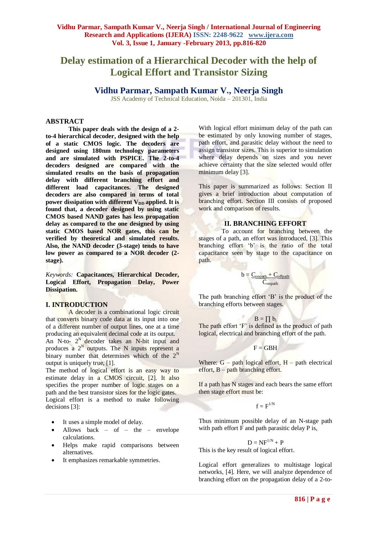# **Delay estimation of a Hierarchical Decoder with the help of Logical Effort and Transistor Sizing**

# **Vidhu Parmar, Sampath Kumar V., Neerja Singh**

JSS Academy of Technical Education, Noida – 201301, India

## **ABSTRACT**

**This paper deals with the design of a 2 to-4 hierarchical decoder, designed with the help of a static CMOS logic. The decoders are designed using 180nm technology parameters and are simulated with PSPICE. The 2-to-4 decoders designed are compared with the simulated results on the basis of propagation delay with different branching effort and different load capacitances. The designed decoders are also compared in terms of total power dissipation with different V<sub>DD</sub> applied. It is found that, a decoder designed by using static CMOS based NAND gates has less propagation delay as compared to the one designed by using static CMOS based NOR gates, this can be verified by theoretical and simulated results. Also, the NAND decoder (3-stage) tends to have low power as compared to a NOR decoder (2 stage).**

*Keywords:* **Capacitances, Hierarchical Decoder, Logical Effort, Propagation Delay, Power Dissipation.**

#### **I. INTRODUCTION**

A decoder is a combinational logic circuit that converts binary code data at its input into one of a different number of output lines, one at a time producing an equivalent decimal code at its output. An N-to-  $2^N$  decoder takes an N-bit input and produces a  $2^N$  outputs. The N inputs represent a binary number that determines which of the  $2<sup>N</sup>$ output is uniquely true, [1].

The method of logical effort is an easy way to estimate delay in a CMOS circuit, [2]. It also specifies the proper number of logic stages on a path and the best transistor sizes for the logic gates. Logical effort is a method to make following decisions [3]:

- It uses a simple model of delay.
- Allows back of the envelope calculations.
- Helps make rapid comparisons between alternatives.
- It emphasizes remarkable symmetries.

With logical effort minimum delay of the path can be estimated by only knowing number of stages, path effort, and parasitic delay without the need to assign transistor sizes. This is superior to simulation where delay depends on sizes and you never achieve certainty that the size selected would offer minimum delay [3].

This paper is summarized as follows: Section II gives a brief introduction about computation of branching effort. Section III consists of proposed work and comparison of results.

## **II. BRANCHING EFFORT**

To account for branching between the stages of a path, an effort was introduced, [3]. This branching effort 'b' is the ratio of the total capacitance seen by stage to the capacitance on path.

$$
b = \frac{C_{\text{onpath}} + C_{\text{offpath}}}{C_{\text{onpath}}}
$$

The path branching effort 'B' is the product of the branching efforts between stages.

$$
B=\prod b_i
$$

The path effort 'F' is defined as the product of path logical, electrical and branching effort of the path.

$$
\mathbf{F} = \mathbf{G}\mathbf{B}\mathbf{H}
$$

Where:  $G$  – path logical effort,  $H$  – path electrical effort, B – path branching effort.

If a path has N stages and each bears the same effort then stage effort must be:

 $f = F^{1/N}$ 

Thus minimum possible delay of an N-stage path with path effort  $\overline{F}$  and path parasitic delay  $\overline{P}$  is,

$$
\mathbf{D} = \mathbf{N} F^{1/N} + \mathbf{P}
$$

This is the key result of logical effort.

Logical effort generalizes to multistage logical networks, [4]. Here, we will analyze dependence of branching effort on the propagation delay of a 2-to-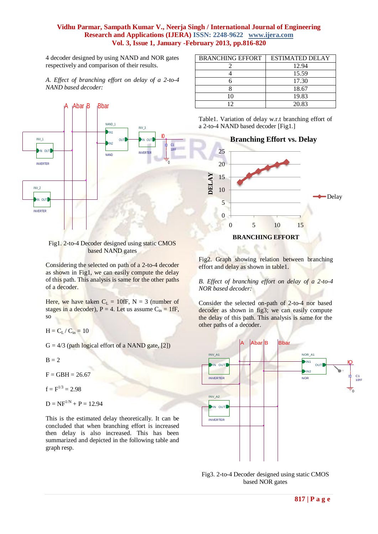4 decoder designed by using NAND and NOR gates respectively and comparison of their results.

*A*. *Effect of branching effort on delay of a 2-to-4 NAND based decoder:*



#### Fig1. 2-to-4 Decoder designed using static CMOS based NAND gates

Considering the selected on path of a 2-to-4 decoder as shown in Fig1, we can easily compute the delay of this path. This analysis is same for the other paths of a decoder.

Here, we have taken  $C_L = 10$ fF, N = 3 (number of stages in a decoder),  $P = 4$ . Let us assume  $C_{in} = 1$  fF, so

 $H = C_L / C_{in} = 10$ 

 $G = 4/3$  (path logical effort of a NAND gate, [2])

 $B = 2$ 

 $F = GBH = 26.67$ 

 $f = F^{1/3} = 2.98$ 

 $D = NF^{1/N} + P = 12.94$ 

This is the estimated delay theoretically. It can be concluded that when branching effort is increased then delay is also increased. This has been summarized and depicted in the following table and graph resp.

| <b>BRANCHING EFFORT</b> | <b>ESTIMATED DELAY</b> |
|-------------------------|------------------------|
|                         | 12.94                  |
|                         | 15.59                  |
|                         | 17.30                  |
|                         | 18.67                  |
| 10                      | 19.83                  |
| רי                      | 20.83                  |





Fig2. Graph showing relation between branching effort and delay as shown in table1.

*B. Effect of branching effort on delay of a 2-to-4 NOR based decoder:*

Consider the selected on-path of 2-to-4 nor based decoder as shown in fig3; we can easily compute the delay of this path. This analysis is same for the other paths of a decoder.



Fig3. 2-to-4 Decoder designed using static CMOS based NOR gates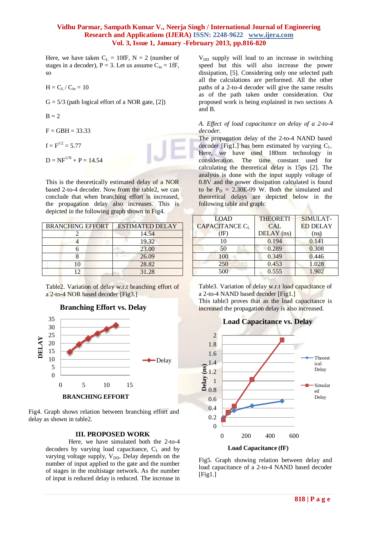Here, we have taken  $C_L = 10$ fF, N = 2 (number of stages in a decoder),  $P = 3$ . Let us assume  $C_{in} = 1$  fF, so

$$
H = C_L / C_{in} = 10
$$

 $G = 5/3$  (path logical effort of a NOR gate, [2])

$$
\mathbf{B}=2
$$

- $F = GBH = 33.33$
- $f = F^{1/2} = 5.77$
- $D = NF^{1/N} + P = 14.54$

This is the theoretically estimated delay of a NOR based 2-to-4 decoder. Now from the table2, we can conclude that when branching effort is increased, the propagation delay also increases. This is depicted in the following graph shown in Fig4.

| <b>BRANCHING EFFORT</b> | <b>ESTIMATED DELAY</b> |
|-------------------------|------------------------|
|                         | 14.54                  |
|                         | 19.32                  |
|                         | 23.00                  |
|                         | 26.09                  |
| 10                      | 28.82                  |
|                         | 31.28                  |

Table2. Variation of delay w.r.t branching effort of a 2-to-4 NOR based decoder [Fig3.]

#### **Branching Effort vs. Delay**



Fig4. Graph shows relation between branching effort and delay as shown in table2.

## **III. PROPOSED WORK**

Here, we have simulated both the 2-to-4 decoders by varying load capacitance,  $C_L$  and by varying voltage supply,  $V_{DD}$ . Delay depends on the number of input applied to the gate and the number of stages in the multistage network. As the number of input is reduced delay is reduced. The increase in

 $V<sub>DD</sub>$  supply will lead to an increase in switching speed but this will also increase the power dissipation, [5]. Considering only one selected path all the calculations are performed. All the other paths of a 2-to-4 decoder will give the same results as of the path taken under consideration. Our proposed work is being explained in two sections A and B.

#### *A. Effect of load capacitance on delay of a 2-to-4 decoder.*

The propagation delay of the 2-to-4 NAND based decoder [Fig1.] has been estimated by varying  $C_L$ . Here, we have used 180nm technology in consideration. The time constant used for calculating the theoretical delay is 15ps [2]. The analysis is done with the input supply voltage of 0.8V and the power dissipation calculated is found to be  $P_D = 2.30E-09$  W. Both the simulated and theoretical delays are depicted below in the following table and graph:

| <b>LOAD</b>           | <b>THEORETI</b> | SIMULAT-        |
|-----------------------|-----------------|-----------------|
| <b>CAPACITANCE CL</b> | <b>CAL</b>      | <b>ED DELAY</b> |
| (fF)                  | $DELAY$ (ns)    | (ns)            |
| 10                    | 0.194           | 0.141           |
| 50                    | 0.289           | 0.308           |
| 100                   | 0.349           | 0.446           |
| 250                   | 0.453           | 1.028           |
| 500                   | 0.555           | 1.902           |

Table3. Variation of delay w.r.t load capacitance of a 2-to-4 NAND based decoder [Fig1.] This table3 proves that as the load capacitance is

increased the propagation delay is also increased.



Fig5. Graph showing relation between delay and load capacitance of a 2-to-4 NAND based decoder  $[Fig1.]$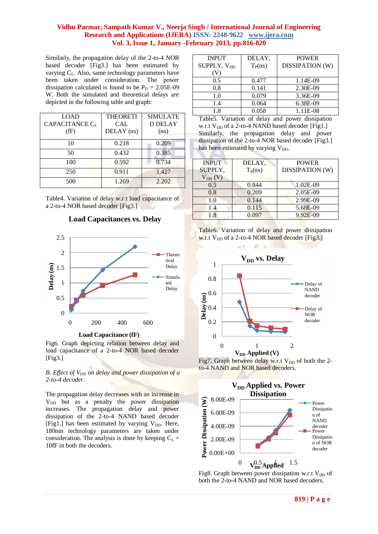Similarly, the propagation delay of the 2-to-4 NOR based decoder [Fig3.] has been estimated by varying  $C_L$ . Also, same technology parameters have been taken under consideration. The power dissipation calculated is found to be  $P_D = 2.05E-09$ W. Both the simulated and theoretical delays are depicted in the following table and graph:

| <b>LOAD</b>                | <b>THEORETI</b> | <b>SIMULATE</b> |
|----------------------------|-----------------|-----------------|
| CAPACITANCE C <sub>L</sub> | <b>CAL</b>      | <b>D DELAY</b>  |
| (fF)                       | DELAY (ns)      | (ns)            |
| 10                         | 0.218           | 0.209           |
| 50                         | 0.432           | 0.385           |
| 100                        | 0.592           | 0.734           |
| 250                        | 0.911           | 1.427           |
| 500                        | 1.269           | 2.202           |

Table4. Variation of delay w.r.t load capacitance of a 2-to-4 NOR based decoder [Fig3.]

## **Load Capacitances vs. Delay**



Fig6. Graph depicting relation between delay and load capacitance of a 2-to-4 NOR based decoder

 $[Fig3.]$ 

*B. Effect of VDD on delay and power dissipation of a 2-to-4 decoder.*

The propagation delay decreases with an increase in  $V_{DD}$  but as a penalty the power dissipation increases. The propagation delay and power dissipation of the 2-to-4 NAND based decoder [Fig1.] has been estimated by varying  $V_{DD}$ . Here, 180nm technology parameters are taken under consideration. The analysis is done by keeping  $C_L$  = 10fF in both the decoders.

| <b>INPUT</b>            | DELAY,              | <b>POWER</b>    |
|-------------------------|---------------------|-----------------|
| SUPPLY, V <sub>DD</sub> | T <sub>P</sub> (ns) | DISSIPATION (W) |
|                         |                     |                 |
| 0.5                     | 0.477               | 1.14E-09        |
| 0.8                     | 0.141               | 2.30E-09        |
| 1.0                     | 0.079               | 3.36E-09        |
| 1.4                     | 0.064               | 6.38E-09        |
| 1.8                     | 0.058               | 1.11E-08        |

Table5. Variation of delay and power dissipation w.r.t  $V_{DD}$  of a 2-to-4 NAND based decoder [Fig1.] Similarly, the propagation delay and power dissipation of the 2-to-4 NOR based decoder [Fig3.] has been estimated by varying  $V_{DD}$ .

| <b>INPUT</b>               | DELAY.    | <b>POWER</b>           |
|----------------------------|-----------|------------------------|
| SUPPLY,                    | $T_P(ns)$ | <b>DISSIPATION (W)</b> |
| $\rm V_{DD}\left(V\right)$ |           |                        |
| 0.5                        | 0.844     | 1.02E-09               |
| 0.8                        | 0.209     | 2.05E-09               |
| 1.0                        | 0.144     | 2.99E-09               |
| 1.4                        | 0.115     | 5.68E-09               |
| 1.8                        | 0.097     | 9.92E-09               |
|                            |           |                        |



 $16 - 10 = 1$ 



Fig7. Graph between delay w.r.t  $V_{DD}$  of both the 2to-4 NAND and NOR based decoders.



Fig8. Graph between power dissipation w.r.t  $V_{DD}$  of both the 2-to-4 NAND and NOR based decoders.